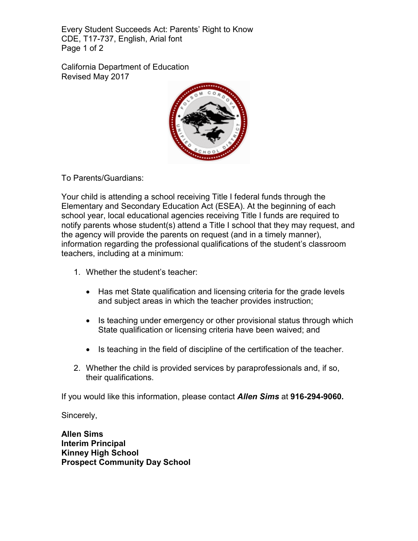Every Student Succeeds Act: Parents' Right to Know CDE, T17-737, English, Arial font Page 1 of 2

California Department of Education Revised May 2017



To Parents/Guardians:

Your child is attending a school receiving Title I federal funds through the Elementary and Secondary Education Act (ESEA). At the beginning of each school year, local educational agencies receiving Title I funds are required to notify parents whose student(s) attend a Title I school that they may request, and the agency will provide the parents on request (and in a timely manner), information regarding the professional qualifications of the student's classroom teachers, including at a minimum:

- 1. Whether the student's teacher:
	- Has met State qualification and licensing criteria for the grade levels and subject areas in which the teacher provides instruction;
	- Is teaching under emergency or other provisional status through which State qualification or licensing criteria have been waived; and
	- Is teaching in the field of discipline of the certification of the teacher.
- 2. Whether the child is provided services by paraprofessionals and, if so, their qualifications.

If you would like this information, please contact *Allen Sims* at **916-294-9060.**

Sincerely,

**Allen Sims Interim Principal Kinney High School Prospect Community Day School**